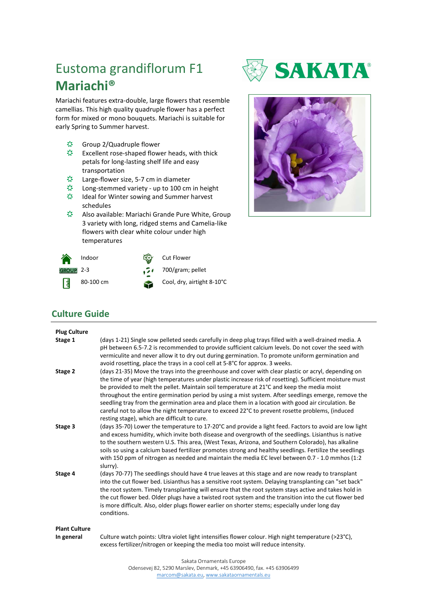## Eustoma grandiflorum F1 **Mariachi®**

Mariachi features extra-double, large flowers that resemble camellias. This high quality quadruple flower has a perfect form for mixed or mono bouquets. Mariachi is suitable for early Spring to Summer harvest.

- 察。 Group 2/Quadruple flower
- 察。 Excellent rose-shaped flower heads, with thick petals for long-lasting shelf life and easy transportation
- 察 Large-flower size, 5-7 cm in diameter
- 察 Long-stemmed variety - up to 100 cm in height
- 察 Ideal for Winter sowing and Summer harvest schedules
- 恐。 Also available: Mariachi Grande Pure White, Group 3 variety with long, ridged stems and Camelia-like flowers with clear white colour under high temperatures







## **Culture Guide**

| <b>Plug Culture</b><br>Stage 1     | (days 1-21) Single sow pelleted seeds carefully in deep plug trays filled with a well-drained media. A<br>pH between 6.5-7.2 is recommended to provide sufficient calcium levels. Do not cover the seed with<br>vermiculite and never allow it to dry out during germination. To promote uniform germination and<br>avoid rosetting, place the trays in a cool cell at 5-8°C for approx. 3 weeks.                                                                                                                                                                                                                                                                            |
|------------------------------------|------------------------------------------------------------------------------------------------------------------------------------------------------------------------------------------------------------------------------------------------------------------------------------------------------------------------------------------------------------------------------------------------------------------------------------------------------------------------------------------------------------------------------------------------------------------------------------------------------------------------------------------------------------------------------|
| Stage 2                            | (days 21-35) Move the trays into the greenhouse and cover with clear plastic or acryl, depending on<br>the time of year (high temperatures under plastic increase risk of rosetting). Sufficient moisture must<br>be provided to melt the pellet. Maintain soil temperature at 21°C and keep the media moist<br>throughout the entire germination period by using a mist system. After seedlings emerge, remove the<br>seedling tray from the germination area and place them in a location with good air circulation. Be<br>careful not to allow the night temperature to exceed 22°C to prevent rosette problems, (induced<br>resting stage), which are difficult to cure. |
| Stage 3                            | (days 35-70) Lower the temperature to 17-20°C and provide a light feed. Factors to avoid are low light<br>and excess humidity, which invite both disease and overgrowth of the seedlings. Lisianthus is native<br>to the southern western U.S. This area, (West Texas, Arizona, and Southern Colorado), has alkaline<br>soils so using a calcium based fertilizer promotes strong and healthy seedlings. Fertilize the seedlings<br>with 150 ppm of nitrogen as needed and maintain the media EC level between 0.7 - 1.0 mmhos (1:2)<br>slurry).                                                                                                                             |
| Stage 4                            | (days 70-77) The seedlings should have 4 true leaves at this stage and are now ready to transplant<br>into the cut flower bed. Lisianthus has a sensitive root system. Delaying transplanting can "set back"<br>the root system. Timely transplanting will ensure that the root system stays active and takes hold in<br>the cut flower bed. Older plugs have a twisted root system and the transition into the cut flower bed<br>is more difficult. Also, older plugs flower earlier on shorter stems; especially under long day<br>conditions.                                                                                                                             |
| <b>Plant Culture</b><br>In general | Culture watch points: Ultra violet light intensifies flower colour. High night temperature (>23°C),<br>excess fertilizer/nitrogen or keeping the media too moist will reduce intensity.                                                                                                                                                                                                                                                                                                                                                                                                                                                                                      |